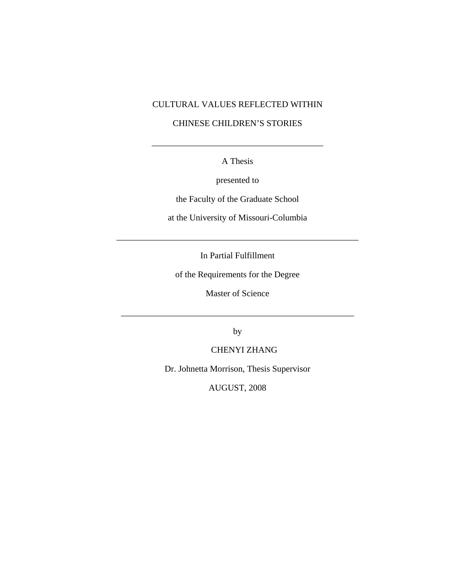## CULTURAL VALUES REFLECTED WITHIN

## CHINESE CHILDREN'S STORIES

A Thesis

\_\_\_\_\_\_\_\_\_\_\_\_\_\_\_\_\_\_\_\_\_\_\_\_\_\_\_\_\_\_\_\_\_\_\_\_\_\_\_

presented to

the Faculty of the Graduate School

at the University of Missouri-Columbia

In Partial Fulfillment

\_\_\_\_\_\_\_\_\_\_\_\_\_\_\_\_\_\_\_\_\_\_\_\_\_\_\_\_\_\_\_\_\_\_\_\_\_\_\_\_\_\_\_\_\_\_\_\_\_\_\_\_\_\_\_

of the Requirements for the Degree

Master of Science

\_\_\_\_\_\_\_\_\_\_\_\_\_\_\_\_\_\_\_\_\_\_\_\_\_\_\_\_\_\_\_\_\_\_\_\_\_\_\_\_\_\_\_\_\_\_\_\_\_\_\_\_\_

by

CHENYI ZHANG

Dr. Johnetta Morrison, Thesis Supervisor

AUGUST, 2008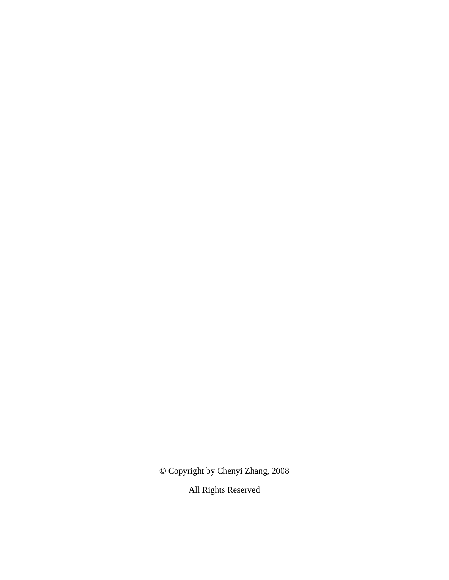© Copyright by Chenyi Zhang, 2008

All Rights Reserved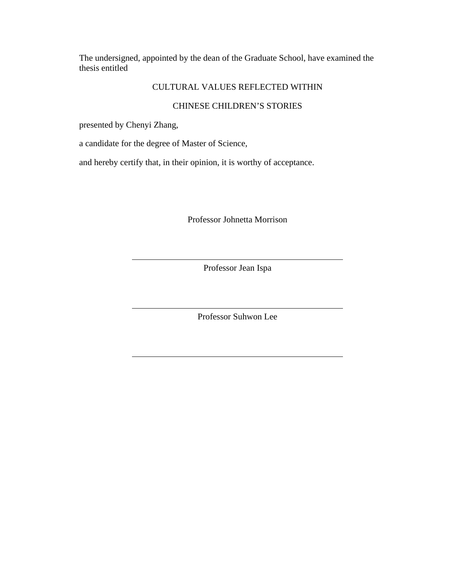The undersigned, appointed by the dean of the Graduate School, have examined the thesis entitled

## CULTURAL VALUES REFLECTED WITHIN

## CHINESE CHILDREN'S STORIES

presented by Chenyi Zhang,

a candidate for the degree of Master of Science,

and hereby certify that, in their opinion, it is worthy of acceptance.

Professor Johnetta Morrison

Professor Jean Ispa

Professor Suhwon Lee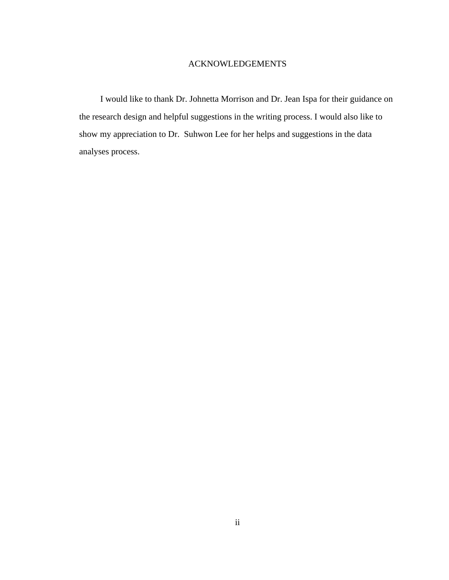## ACKNOWLEDGEMENTS

I would like to thank Dr. Johnetta Morrison and Dr. Jean Ispa for their guidance on the research design and helpful suggestions in the writing process. I would also like to show my appreciation to Dr. Suhwon Lee for her helps and suggestions in the data analyses process.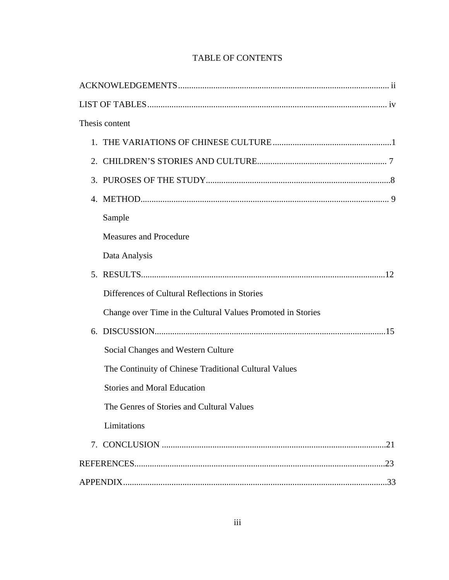| Thesis content                                              |     |
|-------------------------------------------------------------|-----|
|                                                             |     |
|                                                             |     |
|                                                             |     |
|                                                             |     |
| Sample                                                      |     |
| <b>Measures and Procedure</b>                               |     |
| Data Analysis                                               |     |
|                                                             |     |
| Differences of Cultural Reflections in Stories              |     |
| Change over Time in the Cultural Values Promoted in Stories |     |
|                                                             |     |
| Social Changes and Western Culture                          |     |
| The Continuity of Chinese Traditional Cultural Values       |     |
| <b>Stories and Moral Education</b>                          |     |
| The Genres of Stories and Cultural Values                   |     |
| Limitations                                                 |     |
|                                                             | .21 |
|                                                             |     |
|                                                             |     |

# TABLE OF CONTENTS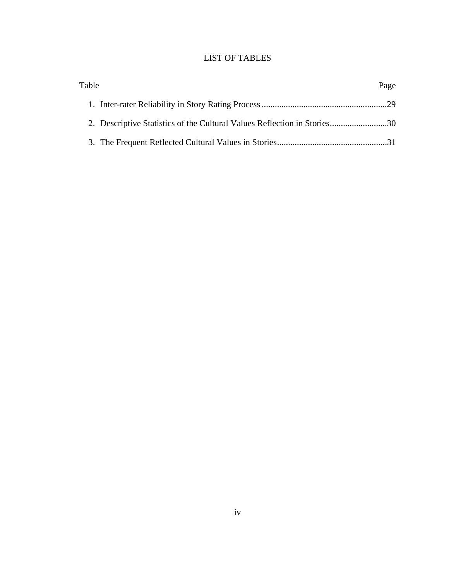## LIST OF TABLES

| Table                                                                    | Page |
|--------------------------------------------------------------------------|------|
|                                                                          |      |
| 2. Descriptive Statistics of the Cultural Values Reflection in Stories30 |      |
|                                                                          |      |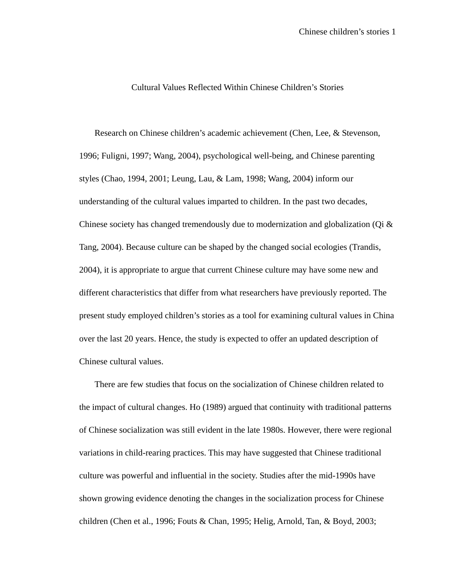#### Cultural Values Reflected Within Chinese Children's Stories

Research on Chinese children's academic achievement (Chen, Lee, & Stevenson, 1996; Fuligni, 1997; Wang, 2004), psychological well-being, and Chinese parenting styles (Chao, 1994, 2001; Leung, Lau, & Lam, 1998; Wang, 2004) inform our understanding of the cultural values imparted to children. In the past two decades, Chinese society has changed tremendously due to modernization and globalization (Qi  $\&$ Tang, 2004). Because culture can be shaped by the changed social ecologies (Trandis, 2004), it is appropriate to argue that current Chinese culture may have some new and different characteristics that differ from what researchers have previously reported. The present study employed children's stories as a tool for examining cultural values in China over the last 20 years. Hence, the study is expected to offer an updated description of Chinese cultural values.

 There are few studies that focus on the socialization of Chinese children related to the impact of cultural changes. Ho (1989) argued that continuity with traditional patterns of Chinese socialization was still evident in the late 1980s. However, there were regional variations in child-rearing practices. This may have suggested that Chinese traditional culture was powerful and influential in the society. Studies after the mid-1990s have shown growing evidence denoting the changes in the socialization process for Chinese children (Chen et al., 1996; Fouts & Chan, 1995; Helig, Arnold, Tan, & Boyd, 2003;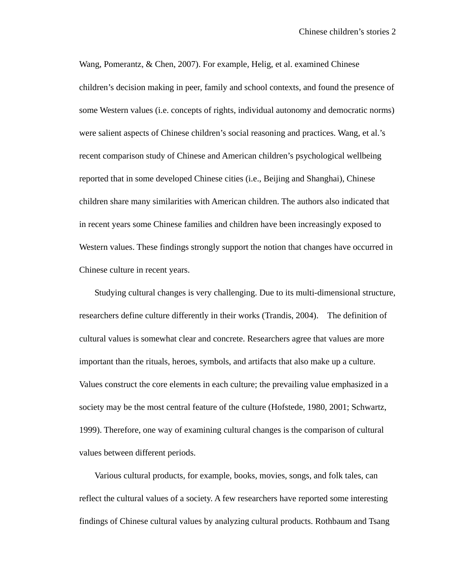Wang, Pomerantz, & Chen, 2007). For example, Helig, et al. examined Chinese children's decision making in peer, family and school contexts, and found the presence of some Western values (i.e. concepts of rights, individual autonomy and democratic norms) were salient aspects of Chinese children's social reasoning and practices. Wang, et al.'s recent comparison study of Chinese and American children's psychological wellbeing reported that in some developed Chinese cities (i.e., Beijing and Shanghai), Chinese children share many similarities with American children. The authors also indicated that in recent years some Chinese families and children have been increasingly exposed to Western values. These findings strongly support the notion that changes have occurred in Chinese culture in recent years.

Studying cultural changes is very challenging. Due to its multi-dimensional structure, researchers define culture differently in their works (Trandis, 2004). The definition of cultural values is somewhat clear and concrete. Researchers agree that values are more important than the rituals, heroes, symbols, and artifacts that also make up a culture. Values construct the core elements in each culture; the prevailing value emphasized in a society may be the most central feature of the culture (Hofstede, 1980, 2001; Schwartz, 1999). Therefore, one way of examining cultural changes is the comparison of cultural values between different periods.

Various cultural products, for example, books, movies, songs, and folk tales, can reflect the cultural values of a society. A few researchers have reported some interesting findings of Chinese cultural values by analyzing cultural products. Rothbaum and Tsang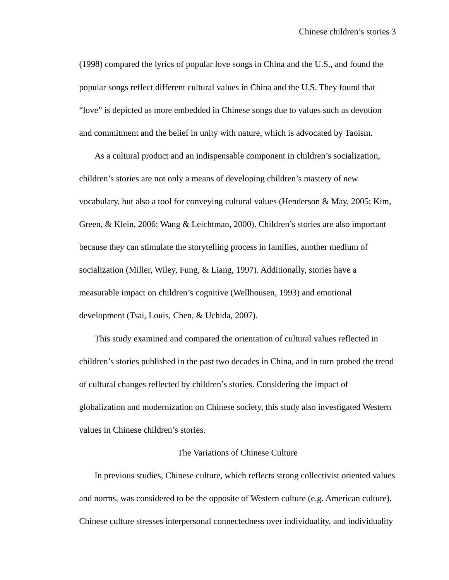(1998) compared the lyrics of popular love songs in China and the U.S., and found the popular songs reflect different cultural values in China and the U.S. They found that "love" is depicted as more embedded in Chinese songs due to values such as devotion and commitment and the belief in unity with nature, which is advocated by Taoism.

As a cultural product and an indispensable component in children's socialization, children's stories are not only a means of developing children's mastery of new vocabulary, but also a tool for conveying cultural values (Henderson & May, 2005; Kim, Green, & Klein, 2006; Wang & Leichtman, 2000). Children's stories are also important because they can stimulate the storytelling process in families, another medium of socialization (Miller, Wiley, Fung, & Liang, 1997). Additionally, stories have a measurable impact on children's cognitive (Wellhousen, 1993) and emotional development (Tsai, Louis, Chen, & Uchida, 2007).

This study examined and compared the orientation of cultural values reflected in children's stories published in the past two decades in China, and in turn probed the trend of cultural changes reflected by children's stories. Considering the impact of globalization and modernization on Chinese society, this study also investigated Western values in Chinese children's stories.

#### The Variations of Chinese Culture

In previous studies, Chinese culture, which reflects strong collectivist oriented values and norms, was considered to be the opposite of Western culture (e.g. American culture). Chinese culture stresses interpersonal connectedness over individuality, and individuality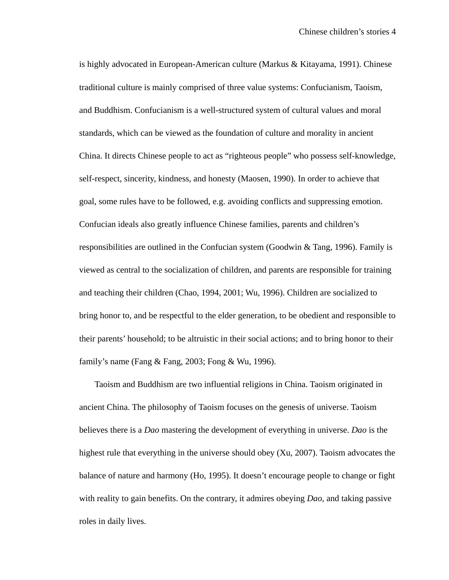is highly advocated in European-American culture (Markus & Kitayama, 1991). Chinese traditional culture is mainly comprised of three value systems: Confucianism, Taoism, and Buddhism. Confucianism is a well-structured system of cultural values and moral standards, which can be viewed as the foundation of culture and morality in ancient China. It directs Chinese people to act as "righteous people" who possess self-knowledge, self-respect, sincerity, kindness, and honesty (Maosen, 1990). In order to achieve that goal, some rules have to be followed, e.g. avoiding conflicts and suppressing emotion. Confucian ideals also greatly influence Chinese families, parents and children's responsibilities are outlined in the Confucian system (Goodwin & Tang, 1996). Family is viewed as central to the socialization of children, and parents are responsible for training and teaching their children (Chao, 1994, 2001; Wu, 1996). Children are socialized to bring honor to, and be respectful to the elder generation, to be obedient and responsible to their parents' household; to be altruistic in their social actions; and to bring honor to their family's name (Fang & Fang, 2003; Fong & Wu, 1996).

Taoism and Buddhism are two influential religions in China. Taoism originated in ancient China. The philosophy of Taoism focuses on the genesis of universe. Taoism believes there is a *Dao* mastering the development of everything in universe. *Dao* is the highest rule that everything in the universe should obey (Xu, 2007). Taoism advocates the balance of nature and harmony (Ho, 1995). It doesn't encourage people to change or fight with reality to gain benefits. On the contrary, it admires obeying *Dao*, and taking passive roles in daily lives.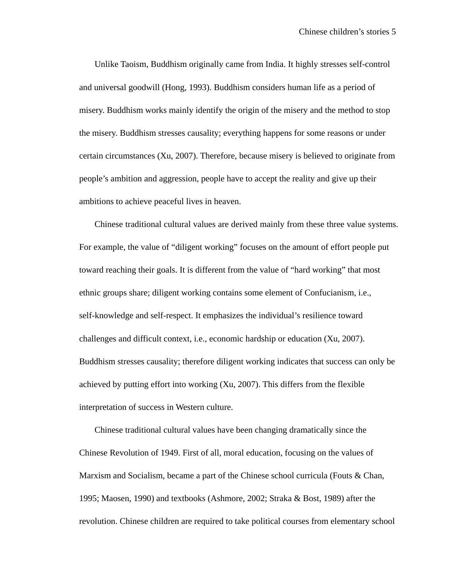Unlike Taoism, Buddhism originally came from India. It highly stresses self-control and universal goodwill (Hong, 1993). Buddhism considers human life as a period of misery. Buddhism works mainly identify the origin of the misery and the method to stop the misery. Buddhism stresses causality; everything happens for some reasons or under certain circumstances (Xu, 2007). Therefore, because misery is believed to originate from people's ambition and aggression, people have to accept the reality and give up their ambitions to achieve peaceful lives in heaven.

Chinese traditional cultural values are derived mainly from these three value systems. For example, the value of "diligent working" focuses on the amount of effort people put toward reaching their goals. It is different from the value of "hard working" that most ethnic groups share; diligent working contains some element of Confucianism, i.e., self-knowledge and self-respect. It emphasizes the individual's resilience toward challenges and difficult context, i.e., economic hardship or education (Xu, 2007). Buddhism stresses causality; therefore diligent working indicates that success can only be achieved by putting effort into working (Xu, 2007). This differs from the flexible interpretation of success in Western culture.

Chinese traditional cultural values have been changing dramatically since the Chinese Revolution of 1949. First of all, moral education, focusing on the values of Marxism and Socialism, became a part of the Chinese school curricula (Fouts & Chan, 1995; Maosen, 1990) and textbooks (Ashmore, 2002; Straka & Bost, 1989) after the revolution. Chinese children are required to take political courses from elementary school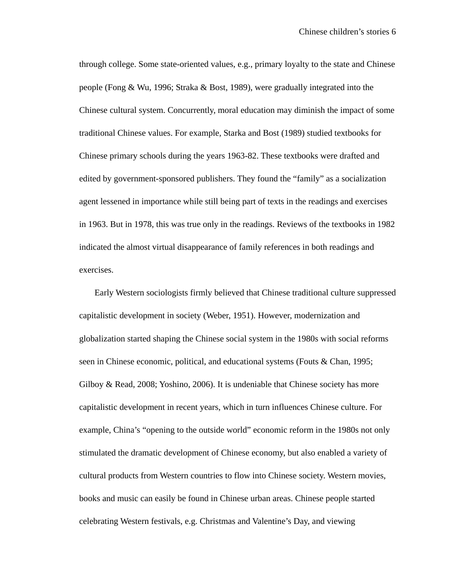through college. Some state-oriented values, e.g., primary loyalty to the state and Chinese people (Fong & Wu, 1996; Straka & Bost, 1989), were gradually integrated into the Chinese cultural system. Concurrently, moral education may diminish the impact of some traditional Chinese values. For example, Starka and Bost (1989) studied textbooks for Chinese primary schools during the years 1963-82. These textbooks were drafted and edited by government-sponsored publishers. They found the "family" as a socialization agent lessened in importance while still being part of texts in the readings and exercises in 1963. But in 1978, this was true only in the readings. Reviews of the textbooks in 1982 indicated the almost virtual disappearance of family references in both readings and exercises.

Early Western sociologists firmly believed that Chinese traditional culture suppressed capitalistic development in society (Weber, 1951). However, modernization and globalization started shaping the Chinese social system in the 1980s with social reforms seen in Chinese economic, political, and educational systems (Fouts & Chan, 1995; Gilboy & Read, 2008; Yoshino, 2006). It is undeniable that Chinese society has more capitalistic development in recent years, which in turn influences Chinese culture. For example, China's "opening to the outside world" economic reform in the 1980s not only stimulated the dramatic development of Chinese economy, but also enabled a variety of cultural products from Western countries to flow into Chinese society. Western movies, books and music can easily be found in Chinese urban areas. Chinese people started celebrating Western festivals, e.g. Christmas and Valentine's Day, and viewing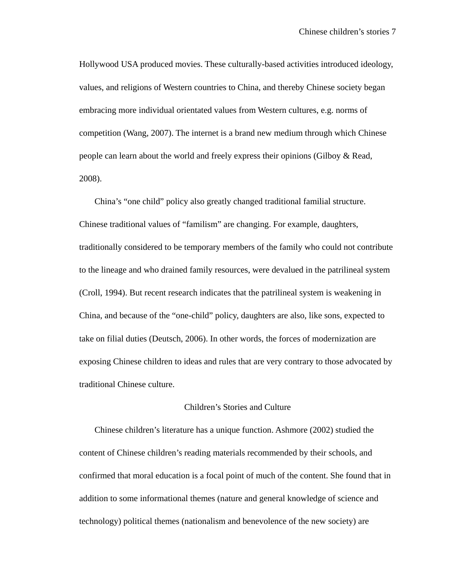Hollywood USA produced movies. These culturally-based activities introduced ideology, values, and religions of Western countries to China, and thereby Chinese society began embracing more individual orientated values from Western cultures, e.g. norms of competition (Wang, 2007). The internet is a brand new medium through which Chinese people can learn about the world and freely express their opinions (Gilboy & Read, 2008).

China's "one child" policy also greatly changed traditional familial structure. Chinese traditional values of "familism" are changing. For example, daughters, traditionally considered to be temporary members of the family who could not contribute to the lineage and who drained family resources, were devalued in the patrilineal system (Croll, 1994). But recent research indicates that the patrilineal system is weakening in China, and because of the "one-child" policy, daughters are also, like sons, expected to take on filial duties (Deutsch, 2006). In other words, the forces of modernization are exposing Chinese children to ideas and rules that are very contrary to those advocated by traditional Chinese culture.

## Children's Stories and Culture

Chinese children's literature has a unique function. Ashmore (2002) studied the content of Chinese children's reading materials recommended by their schools, and confirmed that moral education is a focal point of much of the content. She found that in addition to some informational themes (nature and general knowledge of science and technology) political themes (nationalism and benevolence of the new society) are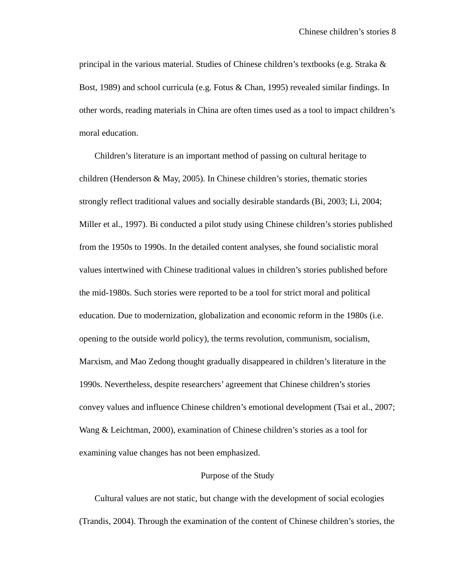principal in the various material. Studies of Chinese children's textbooks (e.g. Straka & Bost, 1989) and school curricula (e.g. Fotus & Chan, 1995) revealed similar findings. In other words, reading materials in China are often times used as a tool to impact children's moral education.

Children's literature is an important method of passing on cultural heritage to children (Henderson & May, 2005). In Chinese children's stories, thematic stories strongly reflect traditional values and socially desirable standards (Bi, 2003; Li, 2004; Miller et al., 1997). Bi conducted a pilot study using Chinese children's stories published from the 1950s to 1990s. In the detailed content analyses, she found socialistic moral values intertwined with Chinese traditional values in children's stories published before the mid-1980s. Such stories were reported to be a tool for strict moral and political education. Due to modernization, globalization and economic reform in the 1980s (i.e. opening to the outside world policy), the terms revolution, communism, socialism, Marxism, and Mao Zedong thought gradually disappeared in children's literature in the 1990s. Nevertheless, despite researchers' agreement that Chinese children's stories convey values and influence Chinese children's emotional development (Tsai et al., 2007; Wang & Leichtman, 2000), examination of Chinese children's stories as a tool for examining value changes has not been emphasized.

#### Purpose of the Study

 Cultural values are not static, but change with the development of social ecologies (Trandis, 2004). Through the examination of the content of Chinese children's stories, the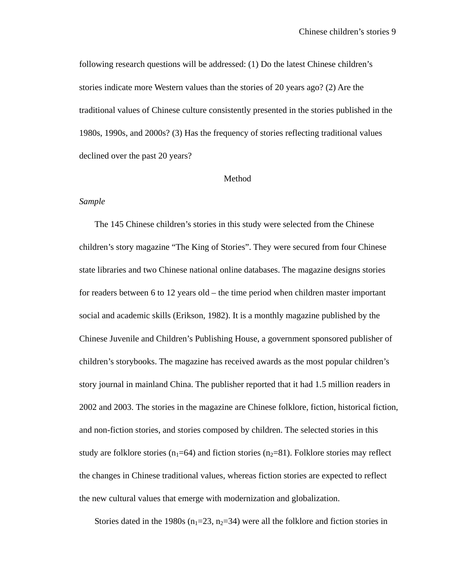following research questions will be addressed: (1) Do the latest Chinese children's stories indicate more Western values than the stories of 20 years ago? (2) Are the traditional values of Chinese culture consistently presented in the stories published in the 1980s, 1990s, and 2000s? (3) Has the frequency of stories reflecting traditional values declined over the past 20 years?

#### Method

### *Sample*

 The 145 Chinese children's stories in this study were selected from the Chinese children's story magazine "The King of Stories". They were secured from four Chinese state libraries and two Chinese national online databases. The magazine designs stories for readers between 6 to 12 years old – the time period when children master important social and academic skills (Erikson, 1982). It is a monthly magazine published by the Chinese Juvenile and Children's Publishing House, a government sponsored publisher of children's storybooks. The magazine has received awards as the most popular children's story journal in mainland China. The publisher reported that it had 1.5 million readers in 2002 and 2003. The stories in the magazine are Chinese folklore, fiction, historical fiction, and non-fiction stories, and stories composed by children. The selected stories in this study are folklore stories ( $n_1=64$ ) and fiction stories ( $n_2=81$ ). Folklore stories may reflect the changes in Chinese traditional values, whereas fiction stories are expected to reflect the new cultural values that emerge with modernization and globalization.

Stories dated in the 1980s ( $n_1$ =23,  $n_2$ =34) were all the folklore and fiction stories in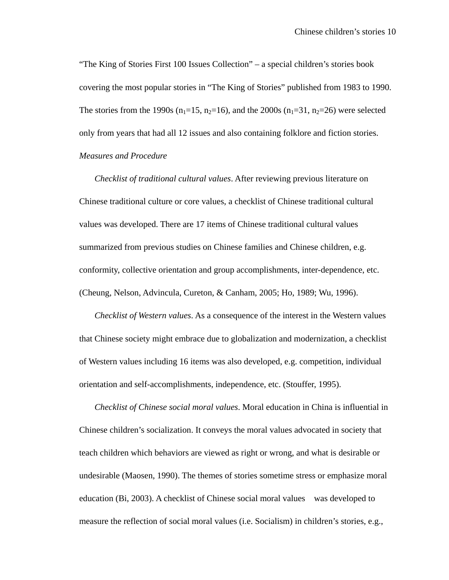"The King of Stories First 100 Issues Collection" – a special children's stories book covering the most popular stories in "The King of Stories" published from 1983 to 1990. The stories from the 1990s ( $n_1=15$ ,  $n_2=16$ ), and the 2000s ( $n_1=31$ ,  $n_2=26$ ) were selected only from years that had all 12 issues and also containing folklore and fiction stories. *Measures and Procedure* 

*Checklist of traditional cultural values*. After reviewing previous literature on Chinese traditional culture or core values, a checklist of Chinese traditional cultural values was developed. There are 17 items of Chinese traditional cultural values summarized from previous studies on Chinese families and Chinese children, e.g. conformity, collective orientation and group accomplishments, inter-dependence, etc. (Cheung, Nelson, Advincula, Cureton, & Canham, 2005; Ho, 1989; Wu, 1996).

*Checklist of Western values*. As a consequence of the interest in the Western values that Chinese society might embrace due to globalization and modernization, a checklist of Western values including 16 items was also developed, e.g. competition, individual orientation and self-accomplishments, independence, etc. (Stouffer, 1995).

*Checklist of Chinese social moral values*. Moral education in China is influential in Chinese children's socialization. It conveys the moral values advocated in society that teach children which behaviors are viewed as right or wrong, and what is desirable or undesirable (Maosen, 1990). The themes of stories sometime stress or emphasize moral education (Bi, 2003). A checklist of Chinese social moral values was developed to measure the reflection of social moral values (i.e. Socialism) in children's stories, e.g.,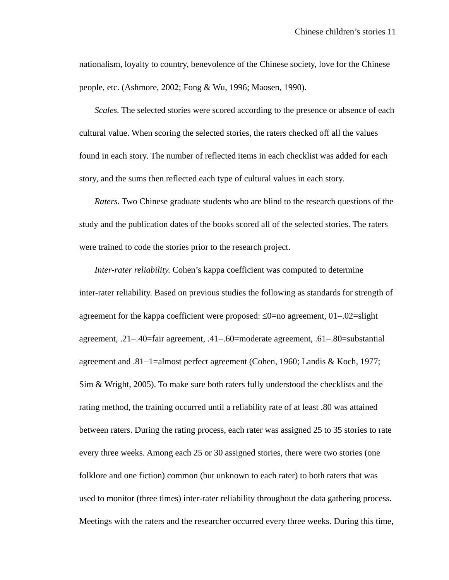nationalism, loyalty to country, benevolence of the Chinese society, love for the Chinese people, etc. (Ashmore, 2002; Fong & Wu, 1996; Maosen, 1990).

*Scales.* The selected stories were scored according to the presence or absence of each cultural value. When scoring the selected stories, the raters checked off all the values found in each story. The number of reflected items in each checklist was added for each story, and the sums then reflected each type of cultural values in each story.

*Raters.* Two Chinese graduate students who are blind to the research questions of the study and the publication dates of the books scored all of the selected stories. The raters were trained to code the stories prior to the research project.

*Inter-rater reliability.* Cohen's kappa coefficient was computed to determine inter-rater reliability. Based on previous studies the following as standards for strength of agreement for the kappa coefficient were proposed: ≤0=no agreement, 01−.02=slight agreement, .21−.40=fair agreement, .41−.60=moderate agreement, .61−.80=substantial agreement and .81−1=almost perfect agreement (Cohen, 1960; Landis & Koch, 1977; Sim & Wright, 2005). To make sure both raters fully understood the checklists and the rating method, the training occurred until a reliability rate of at least .80 was attained between raters. During the rating process, each rater was assigned 25 to 35 stories to rate every three weeks. Among each 25 or 30 assigned stories, there were two stories (one folklore and one fiction) common (but unknown to each rater) to both raters that was used to monitor (three times) inter-rater reliability throughout the data gathering process. Meetings with the raters and the researcher occurred every three weeks. During this time,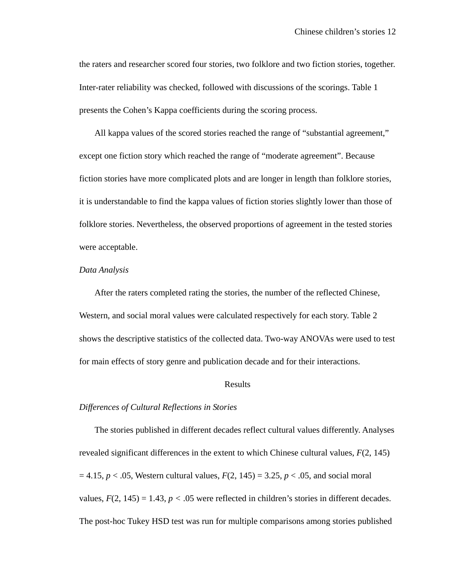the raters and researcher scored four stories, two folklore and two fiction stories, together. Inter-rater reliability was checked, followed with discussions of the scorings. Table 1 presents the Cohen's Kappa coefficients during the scoring process.

All kappa values of the scored stories reached the range of "substantial agreement," except one fiction story which reached the range of "moderate agreement". Because fiction stories have more complicated plots and are longer in length than folklore stories, it is understandable to find the kappa values of fiction stories slightly lower than those of folklore stories. Nevertheless, the observed proportions of agreement in the tested stories were acceptable.

#### *Data Analysis*

After the raters completed rating the stories, the number of the reflected Chinese, Western, and social moral values were calculated respectively for each story. Table 2 shows the descriptive statistics of the collected data. Two-way ANOVAs were used to test for main effects of story genre and publication decade and for their interactions.

#### Results

#### *Differences of Cultural Reflections in Stories*

 The stories published in different decades reflect cultural values differently. Analyses revealed significant differences in the extent to which Chinese cultural values, *F*(2, 145)  $= 4.15, p < .05$ , Western cultural values,  $F(2, 145) = 3.25, p < .05$ , and social moral values,  $F(2, 145) = 1.43$ ,  $p < .05$  were reflected in children's stories in different decades. The post-hoc Tukey HSD test was run for multiple comparisons among stories published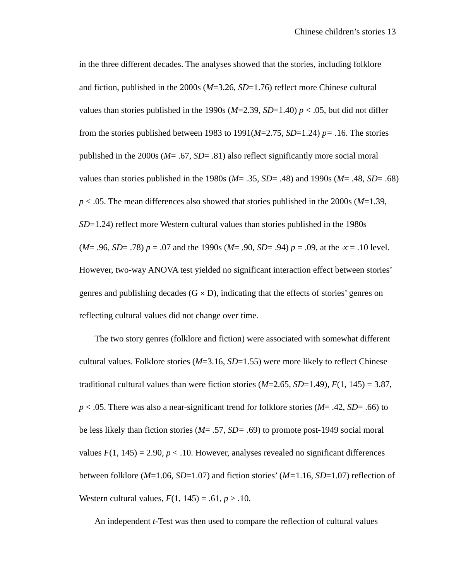in the three different decades. The analyses showed that the stories, including folklore and fiction, published in the 2000s (*M*=3.26, *SD*=1.76) reflect more Chinese cultural values than stories published in the 1990s  $(M=2.39, SD=1.40)$   $p < .05$ , but did not differ from the stories published between 1983 to 1991( $M=2.75$ ,  $SD=1.24$ )  $p=.16$ . The stories published in the 2000s (*M*= .67, *SD*= .81) also reflect significantly more social moral values than stories published in the 1980s (*M*= .35, *SD*= .48) and 1990s (*M*= .48, *SD*= .68) *p* < .05. The mean differences also showed that stories published in the 2000s (*M*=1.39, *SD*=1.24) reflect more Western cultural values than stories published in the 1980s (*M*= .96, *SD*= .78) *p* = .07 and the 1990s (*M*= .90, *SD*= .94) *p* = .09, at the  $\alpha$  = .10 level. However, two-way ANOVA test yielded no significant interaction effect between stories' genres and publishing decades  $(G \times D)$ , indicating that the effects of stories' genres on reflecting cultural values did not change over time.

The two story genres (folklore and fiction) were associated with somewhat different cultural values. Folklore stories (*M*=3.16, *SD*=1.55) were more likely to reflect Chinese traditional cultural values than were fiction stories  $(M=2.65, SD=1.49)$ ,  $F(1, 145) = 3.87$ , *p* < .05. There was also a near-significant trend for folklore stories (*M*= .42, *SD*= .66) to be less likely than fiction stories (*M*= .57, *SD=* .69) to promote post-1949 social moral values  $F(1, 145) = 2.90, p < .10$ . However, analyses revealed no significant differences between folklore (*M*=1.06, *SD*=1.07) and fiction stories' (*M=*1.16, *SD*=1.07) reflection of Western cultural values,  $F(1, 145) = .61, p > .10$ .

An independent *t-*Test was then used to compare the reflection of cultural values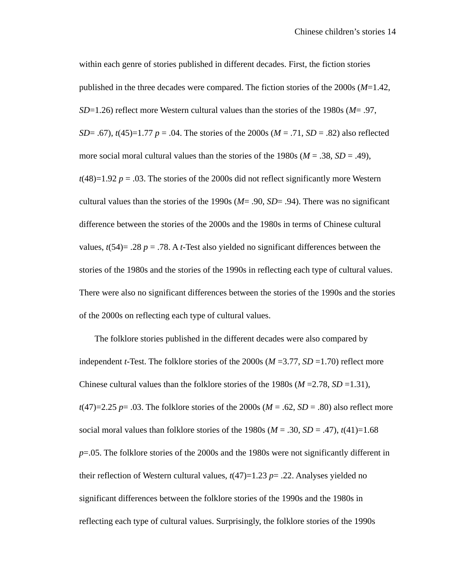within each genre of stories published in different decades. First, the fiction stories published in the three decades were compared. The fiction stories of the 2000s (*M*=1.42, *SD*=1.26) reflect more Western cultural values than the stories of the 1980s (*M*= .97, *SD*= .67),  $t(45)=1.77$  *p* = .04. The stories of the 2000s ( $M = .71$ ,  $SD = .82$ ) also reflected more social moral cultural values than the stories of the 1980s ( $M = .38$ ,  $SD = .49$ ),  $t(48)=1.92$  *p* = .03. The stories of the 2000s did not reflect significantly more Western cultural values than the stories of the 1990s (*M*= .90, *SD*= .94). There was no significant difference between the stories of the 2000s and the 1980s in terms of Chinese cultural values,  $t(54) = .28$  *p* = .78. A *t*-Test also yielded no significant differences between the stories of the 1980s and the stories of the 1990s in reflecting each type of cultural values. There were also no significant differences between the stories of the 1990s and the stories of the 2000s on reflecting each type of cultural values.

 The folklore stories published in the different decades were also compared by independent *t*-Test. The folklore stories of the 2000s ( $M = 3.77$ ,  $SD = 1.70$ ) reflect more Chinese cultural values than the folklore stories of the 1980s ( $M = 2.78$ ,  $SD = 1.31$ ),  $t(47)=2.25$  *p*= .03. The folklore stories of the 2000s (*M* = .62, *SD* = .80) also reflect more social moral values than folklore stories of the 1980s ( $M = .30$ ,  $SD = .47$ ),  $t(41)=1.68$ *p*=.05. The folklore stories of the 2000s and the 1980s were not significantly different in their reflection of Western cultural values,  $t(47)=1.23$  *p*= .22. Analyses yielded no significant differences between the folklore stories of the 1990s and the 1980s in reflecting each type of cultural values. Surprisingly, the folklore stories of the 1990s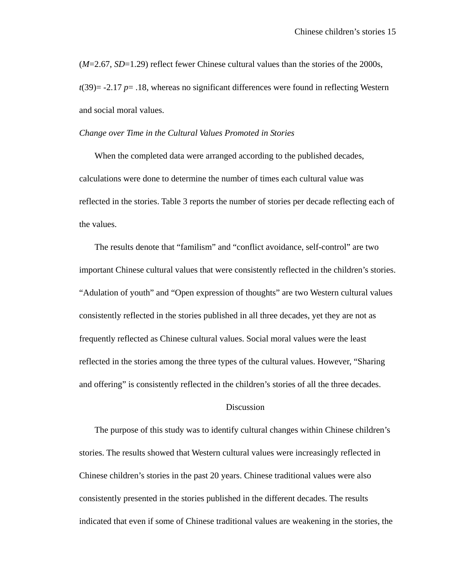(*M*=2.67, *SD*=1.29) reflect fewer Chinese cultural values than the stories of the 2000s, *t*(39)= -2.17 *p*= .18, whereas no significant differences were found in reflecting Western and social moral values.

#### *Change over Time in the Cultural Values Promoted in Stories*

 When the completed data were arranged according to the published decades, calculations were done to determine the number of times each cultural value was reflected in the stories. Table 3 reports the number of stories per decade reflecting each of the values.

 The results denote that "familism" and "conflict avoidance, self-control" are two important Chinese cultural values that were consistently reflected in the children's stories. "Adulation of youth" and "Open expression of thoughts" are two Western cultural values consistently reflected in the stories published in all three decades, yet they are not as frequently reflected as Chinese cultural values. Social moral values were the least reflected in the stories among the three types of the cultural values. However, "Sharing and offering" is consistently reflected in the children's stories of all the three decades.

## **Discussion**

 The purpose of this study was to identify cultural changes within Chinese children's stories. The results showed that Western cultural values were increasingly reflected in Chinese children's stories in the past 20 years. Chinese traditional values were also consistently presented in the stories published in the different decades. The results indicated that even if some of Chinese traditional values are weakening in the stories, the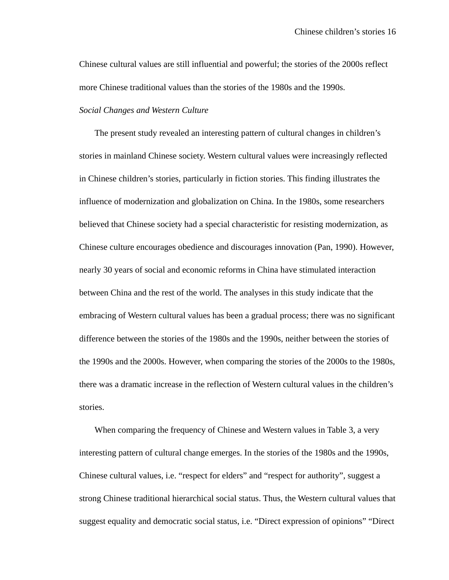Chinese cultural values are still influential and powerful; the stories of the 2000s reflect more Chinese traditional values than the stories of the 1980s and the 1990s.

#### *Social Changes and Western Culture*

The present study revealed an interesting pattern of cultural changes in children's stories in mainland Chinese society. Western cultural values were increasingly reflected in Chinese children's stories, particularly in fiction stories. This finding illustrates the influence of modernization and globalization on China. In the 1980s, some researchers believed that Chinese society had a special characteristic for resisting modernization, as Chinese culture encourages obedience and discourages innovation (Pan, 1990). However, nearly 30 years of social and economic reforms in China have stimulated interaction between China and the rest of the world. The analyses in this study indicate that the embracing of Western cultural values has been a gradual process; there was no significant difference between the stories of the 1980s and the 1990s, neither between the stories of the 1990s and the 2000s. However, when comparing the stories of the 2000s to the 1980s, there was a dramatic increase in the reflection of Western cultural values in the children's stories.

When comparing the frequency of Chinese and Western values in Table 3, a very interesting pattern of cultural change emerges. In the stories of the 1980s and the 1990s, Chinese cultural values, i.e. "respect for elders" and "respect for authority", suggest a strong Chinese traditional hierarchical social status. Thus, the Western cultural values that suggest equality and democratic social status, i.e. "Direct expression of opinions" "Direct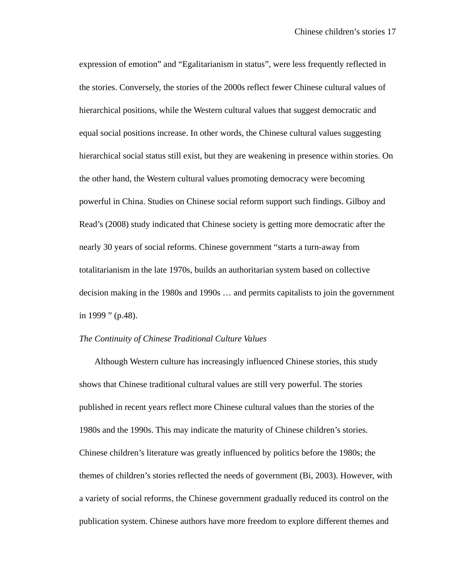expression of emotion" and "Egalitarianism in status", were less frequently reflected in the stories. Conversely, the stories of the 2000s reflect fewer Chinese cultural values of hierarchical positions, while the Western cultural values that suggest democratic and equal social positions increase. In other words, the Chinese cultural values suggesting hierarchical social status still exist, but they are weakening in presence within stories. On the other hand, the Western cultural values promoting democracy were becoming powerful in China. Studies on Chinese social reform support such findings. Gilboy and Read's (2008) study indicated that Chinese society is getting more democratic after the nearly 30 years of social reforms. Chinese government "starts a turn-away from totalitarianism in the late 1970s, builds an authoritarian system based on collective decision making in the 1980s and 1990s … and permits capitalists to join the government in 1999 " (p.48).

#### *The Continuity of Chinese Traditional Culture Values*

Although Western culture has increasingly influenced Chinese stories, this study shows that Chinese traditional cultural values are still very powerful. The stories published in recent years reflect more Chinese cultural values than the stories of the 1980s and the 1990s. This may indicate the maturity of Chinese children's stories. Chinese children's literature was greatly influenced by politics before the 1980s; the themes of children's stories reflected the needs of government (Bi, 2003). However, with a variety of social reforms, the Chinese government gradually reduced its control on the publication system. Chinese authors have more freedom to explore different themes and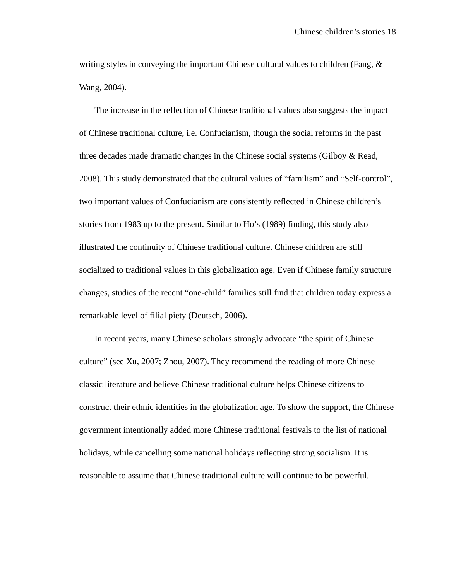writing styles in conveying the important Chinese cultural values to children (Fang, & Wang, 2004).

The increase in the reflection of Chinese traditional values also suggests the impact of Chinese traditional culture, i.e. Confucianism, though the social reforms in the past three decades made dramatic changes in the Chinese social systems (Gilboy & Read, 2008). This study demonstrated that the cultural values of "familism" and "Self-control", two important values of Confucianism are consistently reflected in Chinese children's stories from 1983 up to the present. Similar to Ho's (1989) finding, this study also illustrated the continuity of Chinese traditional culture. Chinese children are still socialized to traditional values in this globalization age. Even if Chinese family structure changes, studies of the recent "one-child" families still find that children today express a remarkable level of filial piety (Deutsch, 2006).

In recent years, many Chinese scholars strongly advocate "the spirit of Chinese culture" (see Xu, 2007; Zhou, 2007). They recommend the reading of more Chinese classic literature and believe Chinese traditional culture helps Chinese citizens to construct their ethnic identities in the globalization age. To show the support, the Chinese government intentionally added more Chinese traditional festivals to the list of national holidays, while cancelling some national holidays reflecting strong socialism. It is reasonable to assume that Chinese traditional culture will continue to be powerful.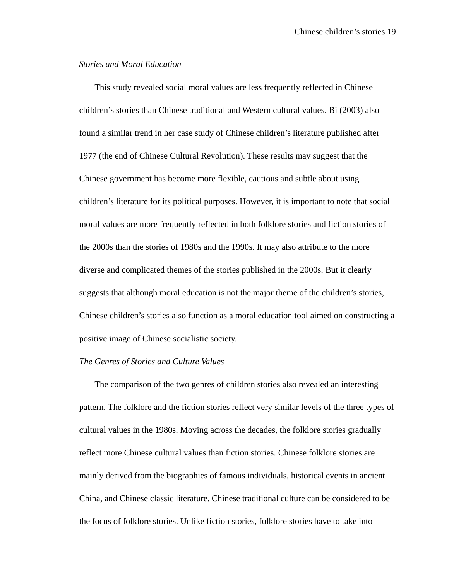#### *Stories and Moral Education*

This study revealed social moral values are less frequently reflected in Chinese children's stories than Chinese traditional and Western cultural values. Bi (2003) also found a similar trend in her case study of Chinese children's literature published after 1977 (the end of Chinese Cultural Revolution). These results may suggest that the Chinese government has become more flexible, cautious and subtle about using children's literature for its political purposes. However, it is important to note that social moral values are more frequently reflected in both folklore stories and fiction stories of the 2000s than the stories of 1980s and the 1990s. It may also attribute to the more diverse and complicated themes of the stories published in the 2000s. But it clearly suggests that although moral education is not the major theme of the children's stories, Chinese children's stories also function as a moral education tool aimed on constructing a positive image of Chinese socialistic society.

#### *The Genres of Stories and Culture Values*

The comparison of the two genres of children stories also revealed an interesting pattern. The folklore and the fiction stories reflect very similar levels of the three types of cultural values in the 1980s. Moving across the decades, the folklore stories gradually reflect more Chinese cultural values than fiction stories. Chinese folklore stories are mainly derived from the biographies of famous individuals, historical events in ancient China, and Chinese classic literature. Chinese traditional culture can be considered to be the focus of folklore stories. Unlike fiction stories, folklore stories have to take into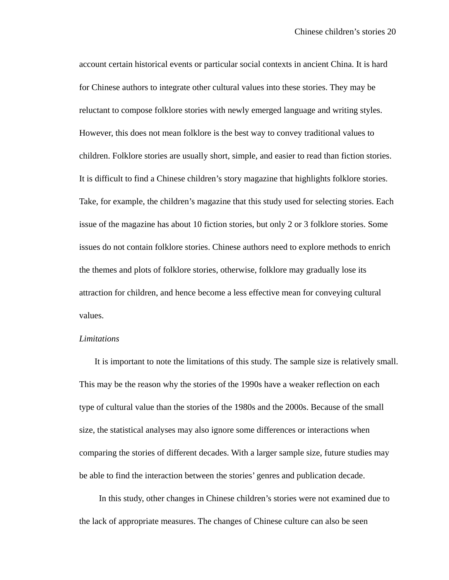account certain historical events or particular social contexts in ancient China. It is hard for Chinese authors to integrate other cultural values into these stories. They may be reluctant to compose folklore stories with newly emerged language and writing styles. However, this does not mean folklore is the best way to convey traditional values to children. Folklore stories are usually short, simple, and easier to read than fiction stories. It is difficult to find a Chinese children's story magazine that highlights folklore stories. Take, for example, the children's magazine that this study used for selecting stories. Each issue of the magazine has about 10 fiction stories, but only 2 or 3 folklore stories. Some issues do not contain folklore stories. Chinese authors need to explore methods to enrich the themes and plots of folklore stories, otherwise, folklore may gradually lose its attraction for children, and hence become a less effective mean for conveying cultural values.

#### *Limitations*

It is important to note the limitations of this study. The sample size is relatively small. This may be the reason why the stories of the 1990s have a weaker reflection on each type of cultural value than the stories of the 1980s and the 2000s. Because of the small size, the statistical analyses may also ignore some differences or interactions when comparing the stories of different decades. With a larger sample size, future studies may be able to find the interaction between the stories' genres and publication decade.

 In this study, other changes in Chinese children's stories were not examined due to the lack of appropriate measures. The changes of Chinese culture can also be seen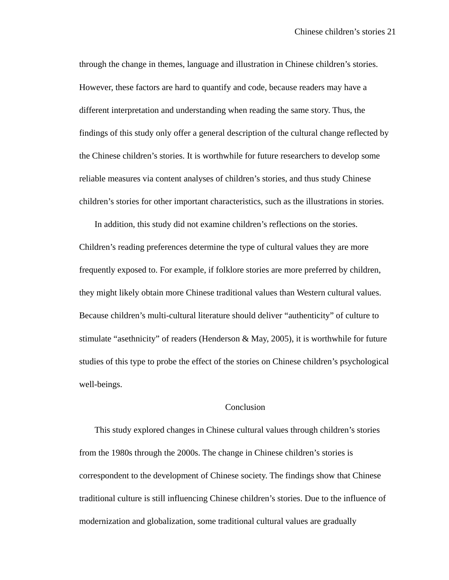through the change in themes, language and illustration in Chinese children's stories. However, these factors are hard to quantify and code, because readers may have a different interpretation and understanding when reading the same story. Thus, the findings of this study only offer a general description of the cultural change reflected by the Chinese children's stories. It is worthwhile for future researchers to develop some reliable measures via content analyses of children's stories, and thus study Chinese children's stories for other important characteristics, such as the illustrations in stories.

In addition, this study did not examine children's reflections on the stories. Children's reading preferences determine the type of cultural values they are more frequently exposed to. For example, if folklore stories are more preferred by children, they might likely obtain more Chinese traditional values than Western cultural values. Because children's multi-cultural literature should deliver "authenticity" of culture to stimulate "asethnicity" of readers (Henderson & May, 2005), it is worthwhile for future studies of this type to probe the effect of the stories on Chinese children's psychological well-beings.

## Conclusion

This study explored changes in Chinese cultural values through children's stories from the 1980s through the 2000s. The change in Chinese children's stories is correspondent to the development of Chinese society. The findings show that Chinese traditional culture is still influencing Chinese children's stories. Due to the influence of modernization and globalization, some traditional cultural values are gradually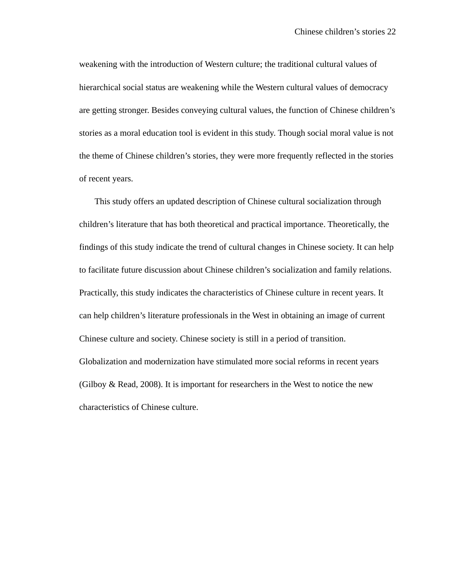weakening with the introduction of Western culture; the traditional cultural values of hierarchical social status are weakening while the Western cultural values of democracy are getting stronger. Besides conveying cultural values, the function of Chinese children's stories as a moral education tool is evident in this study. Though social moral value is not the theme of Chinese children's stories, they were more frequently reflected in the stories of recent years.

This study offers an updated description of Chinese cultural socialization through children's literature that has both theoretical and practical importance. Theoretically, the findings of this study indicate the trend of cultural changes in Chinese society. It can help to facilitate future discussion about Chinese children's socialization and family relations. Practically, this study indicates the characteristics of Chinese culture in recent years. It can help children's literature professionals in the West in obtaining an image of current Chinese culture and society. Chinese society is still in a period of transition. Globalization and modernization have stimulated more social reforms in recent years (Gilboy & Read, 2008). It is important for researchers in the West to notice the new characteristics of Chinese culture.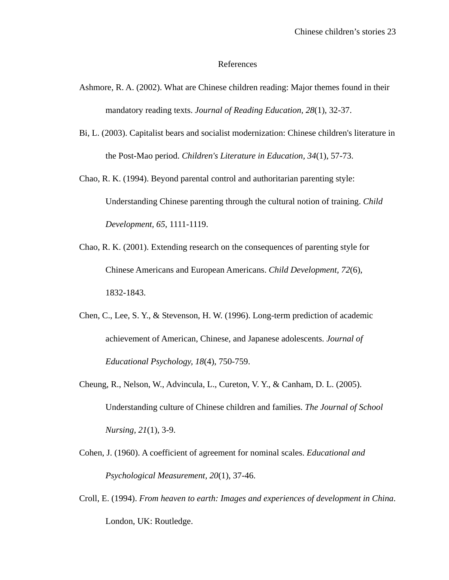#### References

- Ashmore, R. A. (2002). What are Chinese children reading: Major themes found in their mandatory reading texts. *Journal of Reading Education, 28*(1), 32-37.
- Bi, L. (2003). Capitalist bears and socialist modernization: Chinese children's literature in the Post-Mao period. *Children's Literature in Education, 34*(1), 57-73.
- Chao, R. K. (1994). Beyond parental control and authoritarian parenting style: Understanding Chinese parenting through the cultural notion of training. *Child Development, 65*, 1111-1119.
- Chao, R. K. (2001). Extending research on the consequences of parenting style for Chinese Americans and European Americans. *Child Development, 72*(6), 1832-1843.
- Chen, C., Lee, S. Y., & Stevenson, H. W. (1996). Long-term prediction of academic achievement of American, Chinese, and Japanese adolescents. *Journal of Educational Psychology, 18*(4), 750-759.
- Cheung, R., Nelson, W., Advincula, L., Cureton, V. Y., & Canham, D. L. (2005). Understanding culture of Chinese children and families. *The Journal of School Nursing, 21*(1), 3-9.
- Cohen, J. (1960). A coefficient of agreement for nominal scales. *Educational and Psychological Measurement, 20*(1), 37-46.
- Croll, E. (1994). *From heaven to earth: Images and experiences of development in China*. London, UK: Routledge.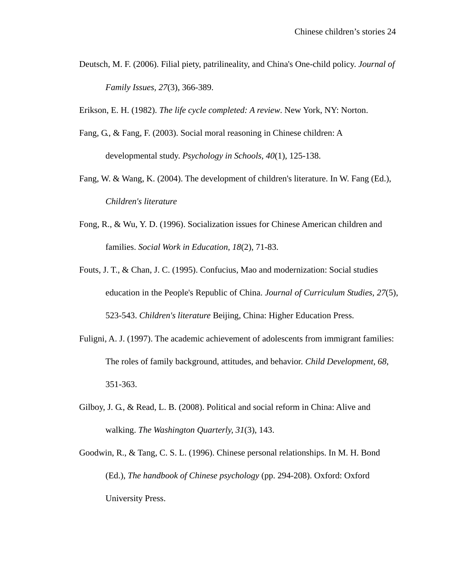Deutsch, M. F. (2006). Filial piety, patrilineality, and China's One-child policy. *Journal of Family Issues, 27*(3), 366-389.

Erikson, E. H. (1982). *The life cycle completed: A review*. New York, NY: Norton.

- Fang, G., & Fang, F. (2003). Social moral reasoning in Chinese children: A developmental study. *Psychology in Schools, 40*(1), 125-138.
- Fang, W. & Wang, K. (2004). The development of children's literature. In W. Fang (Ed.), *Children's literature*
- Fong, R., & Wu, Y. D. (1996). Socialization issues for Chinese American children and families. *Social Work in Education, 18*(2), 71-83.
- Fouts, J. T., & Chan, J. C. (1995). Confucius, Mao and modernization: Social studies education in the People's Republic of China. *Journal of Curriculum Studies, 27*(5), 523-543. *Children's literature* Beijing, China: Higher Education Press.
- Fuligni, A. J. (1997). The academic achievement of adolescents from immigrant families: The roles of family background, attitudes, and behavior. *Child Development, 68*, 351-363.
- Gilboy, J. G., & Read, L. B. (2008). Political and social reform in China: Alive and walking. *The Washington Quarterly, 31*(3), 143.
- Goodwin, R., & Tang, C. S. L. (1996). Chinese personal relationships. In M. H. Bond (Ed.), *The handbook of Chinese psychology* (pp. 294-208). Oxford: Oxford University Press.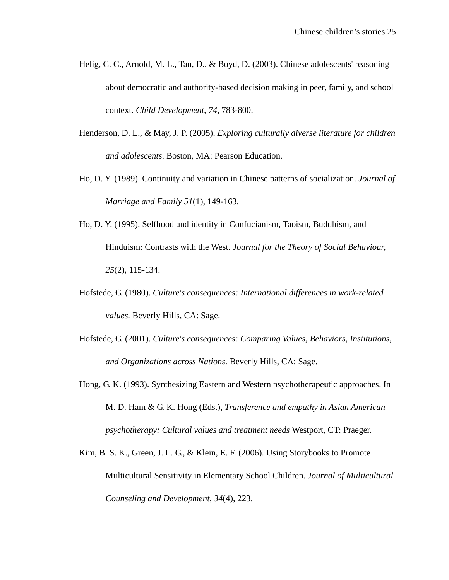- Helig, C. C., Arnold, M. L., Tan, D., & Boyd, D. (2003). Chinese adolescents' reasoning about democratic and authority-based decision making in peer, family, and school context. *Child Development, 74*, 783-800.
- Henderson, D. L., & May, J. P. (2005). *Exploring culturally diverse literature for children and adolescents*. Boston, MA: Pearson Education.
- Ho, D. Y. (1989). Continuity and variation in Chinese patterns of socialization. *Journal of Marriage and Family 51*(1), 149-163.
- Ho, D. Y. (1995). Selfhood and identity in Confucianism, Taoism, Buddhism, and Hinduism: Contrasts with the West. *Journal for the Theory of Social Behaviour, 25*(2), 115-134.
- Hofstede, G. (1980). *Culture's consequences: International differences in work-related values.* Beverly Hills, CA: Sage.
- Hofstede, G. (2001). *Culture's consequences: Comparing Values, Behaviors, Institutions, and Organizations across Nations.* Beverly Hills, CA: Sage.
- Hong, G. K. (1993). Synthesizing Eastern and Western psychotherapeutic approaches. In M. D. Ham & G. K. Hong (Eds.), *Transference and empathy in Asian American psychotherapy: Cultural values and treatment needs* Westport, CT: Praeger.
- Kim, B. S. K., Green, J. L. G., & Klein, E. F. (2006). Using Storybooks to Promote Multicultural Sensitivity in Elementary School Children. *Journal of Multicultural Counseling and Development, 34*(4), 223.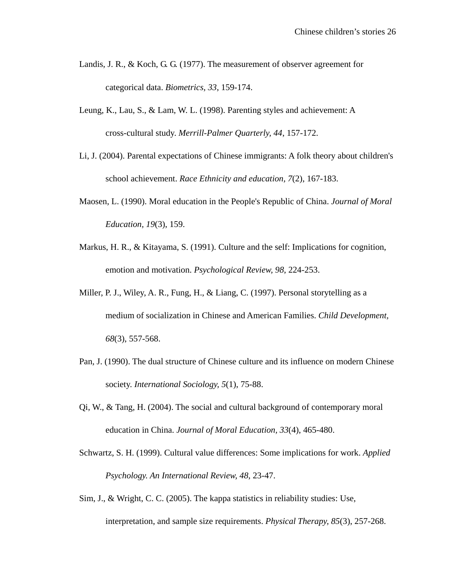- Landis, J. R., & Koch, G. G. (1977). The measurement of observer agreement for categorical data. *Biometrics, 33*, 159-174.
- Leung, K., Lau, S., & Lam, W. L. (1998). Parenting styles and achievement: A cross-cultural study. *Merrill-Palmer Quarterly, 44*, 157-172.
- Li, J. (2004). Parental expectations of Chinese immigrants: A folk theory about children's school achievement. *Race Ethnicity and education, 7*(2), 167-183.
- Maosen, L. (1990). Moral education in the People's Republic of China. *Journal of Moral Education, 19*(3), 159.
- Markus, H. R., & Kitayama, S. (1991). Culture and the self: Implications for cognition, emotion and motivation. *Psychological Review, 98*, 224-253.
- Miller, P. J., Wiley, A. R., Fung, H., & Liang, C. (1997). Personal storytelling as a medium of socialization in Chinese and American Families. *Child Development, 68*(3), 557-568.
- Pan, J. (1990). The dual structure of Chinese culture and its influence on modern Chinese society. *International Sociology, 5*(1), 75-88.
- Qi, W., & Tang, H. (2004). The social and cultural background of contemporary moral education in China. *Journal of Moral Education, 33*(4), 465-480.
- Schwartz, S. H. (1999). Cultural value differences: Some implications for work. *Applied Psychology. An International Review, 48*, 23-47.
- Sim, J., & Wright, C. C. (2005). The kappa statistics in reliability studies: Use, interpretation, and sample size requirements. *Physical Therapy, 85*(3), 257-268.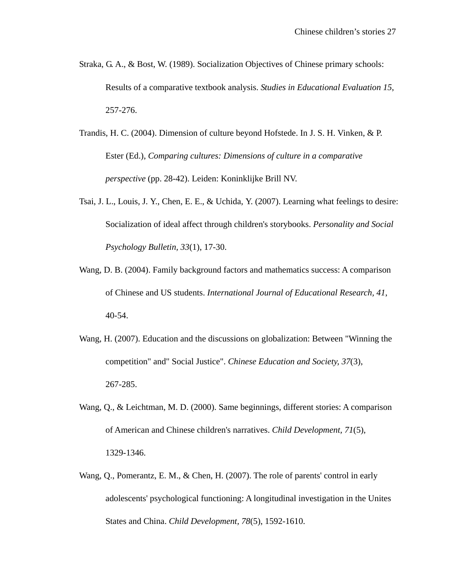- Straka, G. A., & Bost, W. (1989). Socialization Objectives of Chinese primary schools: Results of a comparative textbook analysis. *Studies in Educational Evaluation 15*, 257-276.
- Trandis, H. C. (2004). Dimension of culture beyond Hofstede. In J. S. H. Vinken, & P. Ester (Ed.), *Comparing cultures: Dimensions of culture in a comparative perspective* (pp. 28-42). Leiden: Koninklijke Brill NV.
- Tsai, J. L., Louis, J. Y., Chen, E. E., & Uchida, Y. (2007). Learning what feelings to desire: Socialization of ideal affect through children's storybooks. *Personality and Social Psychology Bulletin, 33*(1), 17-30.
- Wang, D. B. (2004). Family background factors and mathematics success: A comparison of Chinese and US students. *International Journal of Educational Research, 41*, 40-54.
- Wang, H. (2007). Education and the discussions on globalization: Between "Winning the competition" and" Social Justice". *Chinese Education and Society, 37*(3), 267-285.
- Wang, Q., & Leichtman, M. D. (2000). Same beginnings, different stories: A comparison of American and Chinese children's narratives. *Child Development, 71*(5), 1329-1346.
- Wang, Q., Pomerantz, E. M., & Chen, H. (2007). The role of parents' control in early adolescents' psychological functioning: A longitudinal investigation in the Unites States and China. *Child Development, 78*(5), 1592-1610.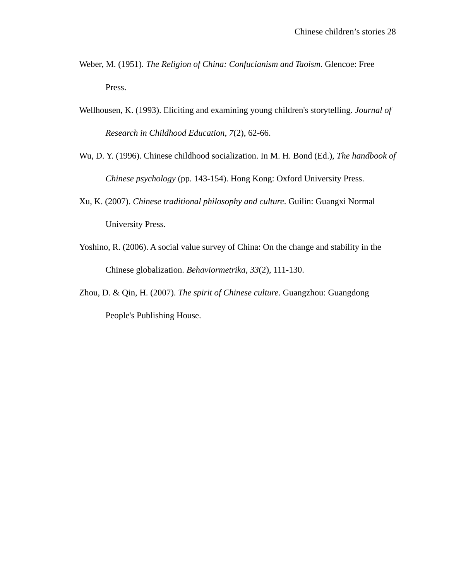- Weber, M. (1951). *The Religion of China: Confucianism and Taoism*. Glencoe: Free Press.
- Wellhousen, K. (1993). Eliciting and examining young children's storytelling. *Journal of Research in Childhood Education, 7*(2), 62-66.
- Wu, D. Y. (1996). Chinese childhood socialization. In M. H. Bond (Ed.), *The handbook of Chinese psychology* (pp. 143-154). Hong Kong: Oxford University Press.
- Xu, K. (2007). *Chinese traditional philosophy and culture*. Guilin: Guangxi Normal University Press.
- Yoshino, R. (2006). A social value survey of China: On the change and stability in the Chinese globalization. *Behaviormetrika, 33*(2), 111-130.
- Zhou, D. & Qin, H. (2007). *The spirit of Chinese culture*. Guangzhou: Guangdong People's Publishing House.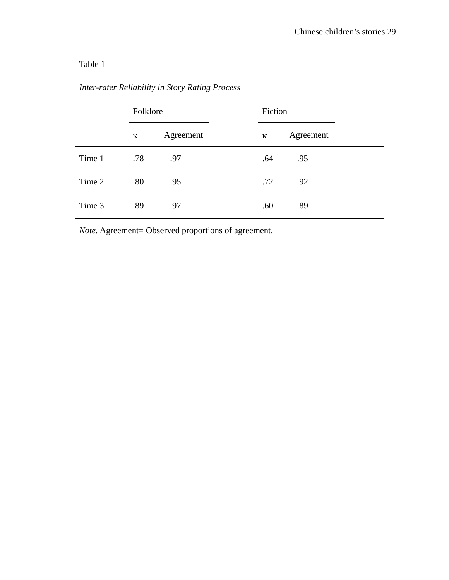# Table 1

|        | Folklore |           | Fiction |           |  |
|--------|----------|-----------|---------|-----------|--|
|        | к        | Agreement | ĸ       | Agreement |  |
| Time 1 | .78      | .97       | .64     | .95       |  |
| Time 2 | .80      | .95       | .72     | .92       |  |
| Time 3 | .89      | .97       | .60     | .89       |  |

*Inter-rater Reliability in Story Rating Process* 

*Note.* Agreement= Observed proportions of agreement.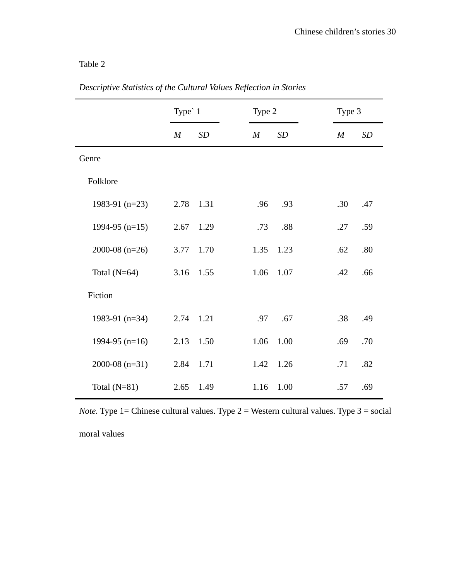# Table 2

|                  | Type' 1          |      |                  | Type 2 |  | Type 3           |     |
|------------------|------------------|------|------------------|--------|--|------------------|-----|
|                  | $\boldsymbol{M}$ | SD   | $\boldsymbol{M}$ | SD     |  | $\boldsymbol{M}$ | SD  |
| Genre            |                  |      |                  |        |  |                  |     |
| Folklore         |                  |      |                  |        |  |                  |     |
| 1983-91 $(n=23)$ | 2.78             | 1.31 | .96              | .93    |  | .30              | .47 |
| 1994-95 $(n=15)$ | 2.67             | 1.29 | .73              | .88    |  | .27              | .59 |
| 2000-08 $(n=26)$ | 3.77             | 1.70 | 1.35             | 1.23   |  | .62              | .80 |
| Total $(N=64)$   | 3.16             | 1.55 | 1.06             | 1.07   |  | .42              | .66 |
| Fiction          |                  |      |                  |        |  |                  |     |
| 1983-91 $(n=34)$ | 2.74 1.21        |      | .97              | .67    |  | .38              | .49 |
| 1994-95 $(n=16)$ | 2.13             | 1.50 | 1.06             | 1.00   |  | .69              | .70 |
| 2000-08 $(n=31)$ | 2.84             | 1.71 | 1.42             | 1.26   |  | .71              | .82 |
| Total $(N=81)$   | 2.65             | 1.49 | 1.16             | 1.00   |  | .57              | .69 |

*Descriptive Statistics of the Cultural Values Reflection in Stories* 

*Note.* Type 1 = Chinese cultural values. Type  $2$  = Western cultural values. Type  $3$  = social moral values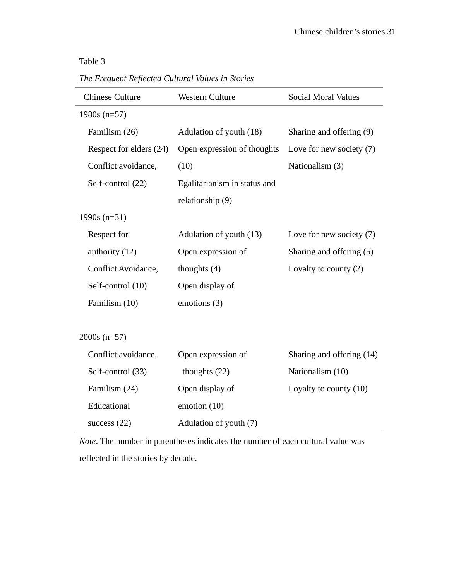## Table 3

*The Frequent Reflected Cultural Values in Stories* 

| <b>Chinese Culture</b>  | <b>Western Culture</b>       | <b>Social Moral Values</b> |
|-------------------------|------------------------------|----------------------------|
| $1980s (n=57)$          |                              |                            |
| Familism (26)           | Adulation of youth (18)      | Sharing and offering (9)   |
| Respect for elders (24) | Open expression of thoughts  | Love for new society $(7)$ |
| Conflict avoidance,     | (10)                         | Nationalism (3)            |
| Self-control (22)       | Egalitarianism in status and |                            |
|                         | relationship (9)             |                            |
| $1990s (n=31)$          |                              |                            |
| Respect for             | Adulation of youth (13)      | Love for new society $(7)$ |
| authority (12)          | Open expression of           | Sharing and offering (5)   |
| Conflict Avoidance,     | thoughts $(4)$               | Loyalty to county $(2)$    |
| Self-control (10)       | Open display of              |                            |
| Familism (10)           | emotions (3)                 |                            |
|                         |                              |                            |
| $2000s$ (n=57)          |                              |                            |
| Conflict avoidance,     | Open expression of           | Sharing and offering (14)  |
| Self-control (33)       | thoughts $(22)$              | Nationalism (10)           |
| Familism (24)           | Open display of              | Loyalty to county $(10)$   |
| Educational             | emotion (10)                 |                            |
| success $(22)$          | Adulation of youth (7)       |                            |

*Note*. The number in parentheses indicates the number of each cultural value was reflected in the stories by decade.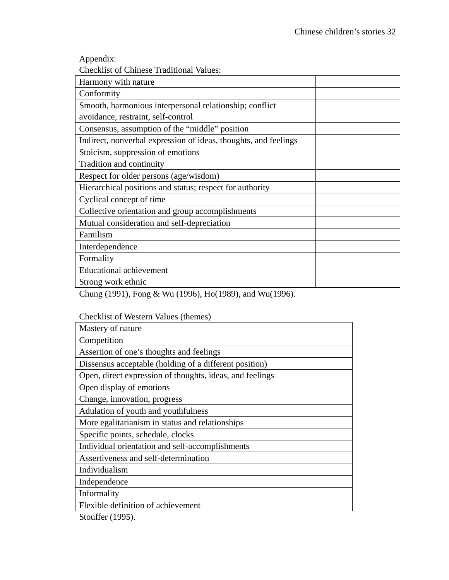Appendix:

Checklist of Chinese Traditional Values:

| Harmony with nature                                             |
|-----------------------------------------------------------------|
| Conformity                                                      |
| Smooth, harmonious interpersonal relationship; conflict         |
| avoidance, restraint, self-control                              |
| Consensus, assumption of the "middle" position                  |
| Indirect, nonverbal expression of ideas, thoughts, and feelings |
| Stoicism, suppression of emotions                               |
| Tradition and continuity                                        |
| Respect for older persons (age/wisdom)                          |
| Hierarchical positions and status; respect for authority        |
| Cyclical concept of time                                        |
| Collective orientation and group accomplishments                |
| Mutual consideration and self-depreciation                      |
| Familism                                                        |
| Interdependence                                                 |
| Formality                                                       |
| <b>Educational achievement</b>                                  |
| Strong work ethnic                                              |

Chung (1991), Fong & Wu (1996), Ho(1989), and Wu(1996).

| CHECKIIST OF WESTELH VALUES (THEFFIES)                   |  |
|----------------------------------------------------------|--|
| Mastery of nature                                        |  |
| Competition                                              |  |
| Assertion of one's thoughts and feelings                 |  |
| Dissensus acceptable (holding of a different position)   |  |
| Open, direct expression of thoughts, ideas, and feelings |  |
| Open display of emotions                                 |  |
| Change, innovation, progress                             |  |
| Adulation of youth and youthfulness                      |  |
| More egalitarianism in status and relationships          |  |
| Specific points, schedule, clocks                        |  |
| Individual orientation and self-accomplishments          |  |
| Assertiveness and self-determination                     |  |
| Individualism                                            |  |
| Independence                                             |  |
| Informality                                              |  |
| Flexible definition of achievement                       |  |
|                                                          |  |

# Checklist of Western Values (themes)

Stouffer (1995).